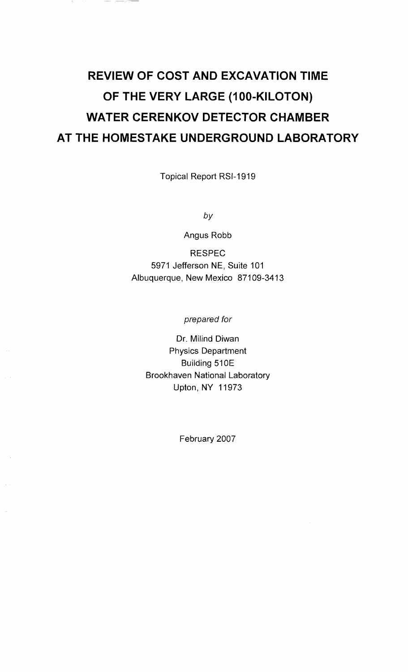# **REVIEW OF COST AND EXCAVATION TIME OF THE VERY LARGE (100-KILOTON) WATER CERENKOV DETECTOR CHAMBER AT THE HOMESTAKE UNDERGROUND LABORATORY**

Topical Report RSI-1919

by

Angus Robb

RESPEC 5971 Jefferson NE, Suite 101 Albuquerque, New Mexico 87109-3413

prepared for

Dr. Milind Diwan Physics Department Building 510E Brookhaven National Laboratory Upton, NY 11973

February 2007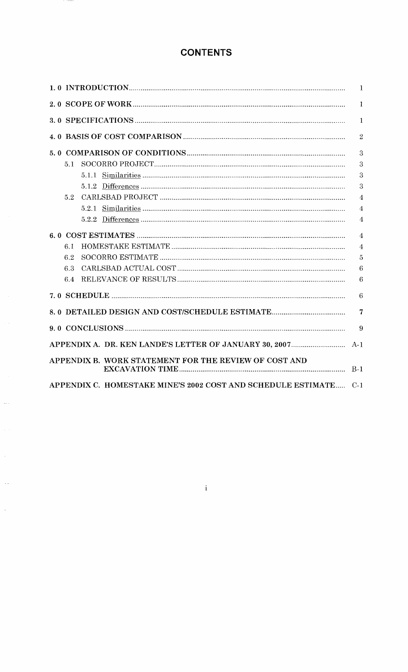## **CONTENTS**

|                                                                  | $\mathbf{1}$     |
|------------------------------------------------------------------|------------------|
|                                                                  | $\mathbf{1}$     |
|                                                                  | $\mathbf{1}$     |
|                                                                  | $\overline{2}$   |
|                                                                  | 3                |
| 5.1                                                              | 3                |
|                                                                  | 3                |
|                                                                  | 3                |
| 52                                                               | $\overline{4}$   |
|                                                                  | $\overline{4}$   |
|                                                                  | $\overline{4}$   |
|                                                                  | $\overline{4}$   |
| 6.1                                                              | $\overline{4}$   |
| 6.2                                                              | 5                |
| 6.3                                                              | 6                |
| 6.4                                                              | $\boldsymbol{6}$ |
|                                                                  | $\overline{6}$   |
|                                                                  | $\overline{7}$   |
|                                                                  | 9                |
|                                                                  |                  |
| APPENDIX B. WORK STATEMENT FOR THE REVIEW OF COST AND            |                  |
| APPENDIX C. HOMESTAKE MINE'S 2002 COST AND SCHEDULE ESTIMATE C-1 |                  |

 $\rm i$ 

a la

 $\overline{\phantom{a}}$ 

 $\frac{1}{2}$ 

 $\frac{1}{\sqrt{2}}$ 

 $\frac{1}{\sqrt{2}}$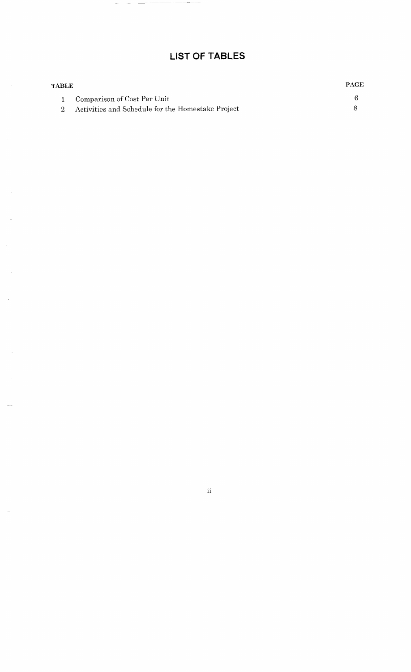## **LIST OF TABLES**

 $\sim$   $-$ 

 $\overline{\phantom{a}}$  $\sim$   $\sim$  $\overline{\phantom{a}}$ 

| <b>TABLE</b> |                                                   | <b>PAGE</b> |
|--------------|---------------------------------------------------|-------------|
|              | 1 Comparison of Cost Per Unit                     |             |
|              | Activities and Schedule for the Homestake Project |             |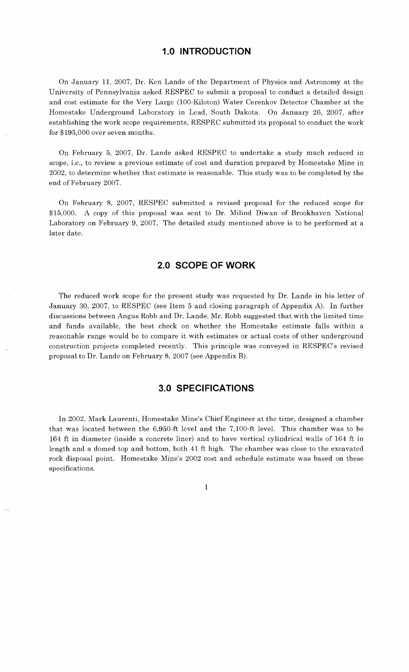#### **1.0 INTRODUCTION**

On January 11, 2007, Dr. Ken Lande of the Department of Physics and Astronomy at the University of Pennsylvania asked RESPEC to submit a proposal to conduct a detailed design and cost estimate for the Very Large (100-Kiloton) Water Cerenkov Detector Chamber at the Homestake Underground Laboratory in Lead, South Dakota. On January 26, 2007, after establishing the work scope requirements, RESPEC submitted its proposal to conduct the work for \$195,000 over seven months.

On February 5, 2007, Dr. Lande asked RESPEC to undertake a study much reduced in scope, i.e., to review a previous estimate of cost and duration prepared by Homestake Mine in 2002, to determine whether that estimate is reasonable. This study was to be completed by the end of February 2007.

On February 8, 2007, RESPEC submitted a revised proposal for the reduced scope for \$15,000. A copy of this proposal was sent to Dr. Milind Diwan of Brookhaven National Laboratory on February 9, 2007. The detailed study mentioned above is to be performed at a later date.

#### **2.0 SCOPE OF WORK**

The reduced work scope for the present study was requested by Dr. Lande in his letter of January 30, 2007, to RESPEC (see Item 5 and closing paragraph of Appendix A). In further discussions between Angus Robb and Dr. Lande, Mr. Robb suggested that with the limited time and funds available, the best check on whether the Homestake estimate falls within a reasonable range would be to compare it with estimates or actual costs of other underground construction projects completed recently. This principle was conveyed in RESPEC's revised proposal to Dr. Lande on February 8, 2007 (see Appendix B).

#### **3.0 SPECIFICATIONS**

In 2002, Mark Laurenti, Homestake Mine's Chief Engineer at the time, designed a chamber that was located between the 6,950-ft level and the 7,100-ft level. This chamber was to be 164 ft in diameter (inside a concrete liner) and to have vertical cylindrical walls of 164 ft in length and a domed top and bottom, both 41 ft high. The chamber was close to the excavated rock disposal point. Homestake Mine's 2002 cost and schedule estimate was based on these specifications.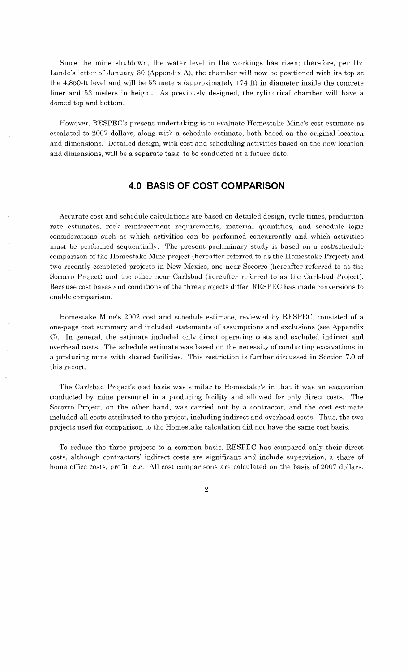Since the mine shutdown, the water level in the workings has risen; therefore, per Dr. Lande's letter of January 30 (Appendix A), the chamber will now be positioned with its top at the 4,850-ft level and will be 53 meters (approximately 174 ft) in diameter inside the concrete liner and 53 meters in height. As previously designed, the cylindrical chamber will have a domed top and bottom.

However, RESPEC's present undertaking is to evaluate Homestake Mine's cost estimate as escalated to 2007 dollars, along with a schedule estimate, both based on the original location and dimensions. Detailed design, with cost and scheduling activities based on the new location and dimensions, will be a separate task, to be conducted at a future date.

#### **4.0 BASIS OF COST COMPARISON**

Accurate cost and schedule calculations are based on detailed design, cycle times, production rate estimates, rock reinforcement requirements, material quantities, and schedule logic considerations such as which activities can be performed concurrently and which activities must be performed sequentially. The present preliminary study is based on a cost/schedule comparison of the Homestake Mine project (hereafter referred to as the Homestake Project) and two recently completed projects in New Mexico, one near Socorro (hereafter referred to as the Socorro Project) and the other near Carlsbad (hereafter referred to as the Carlsbad Project). Because cost bases and conditions of the three projects differ, RESPEC has made conversions to enable comparison.

Homestake Mine's 2002 cost and schedule estimate, reviewed by RESPEC, consisted of a one-page cost summary and included statements of assumptions and exclusions (see Appendix C). In general, the estimate included only direct operating costs and excluded indirect and overhead costs. The schedule estimate was based on the necessity of conducting excavations in a producing mine with shared facilities. This restriction is further discussed in Section 7.0 of this report.

The Carlsbad Project's cost basis was similar to Homestake's in that it was an excavation conducted by mine personnel in a producing facility and allowed for only direct costs. The Socorro Project, on the other hand, was carried out by a contractor, and the cost estimate included all costs attributed to the project, including indirect and overhead costs. Thus, the two projects used for comparison to the Homestake calculation did not have the same cost basis.

To reduce the three projects to a common basis, RESPEC has compared only their direct costs, although contractors' indirect costs are significant and include supervision, a share of home office costs, profit, etc. All cost comparisons are calculated on the basis of 2007 dollars.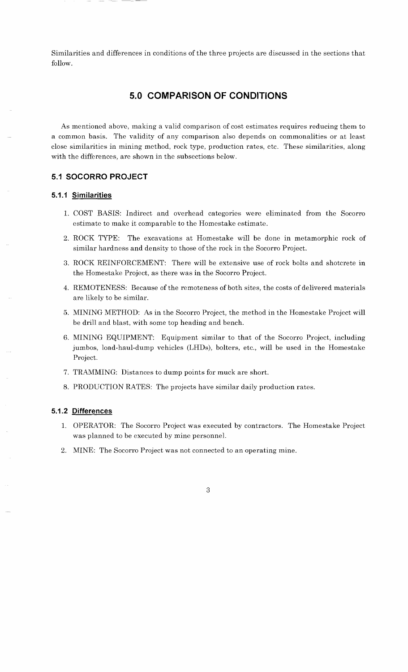Similarities and differences in conditions of the three projects are discussed in the sections that follow.

## **5.0 COMPARISON OF CONDITIONS**

As mentioned above, making a valid comparison of cost estimates requires reducing them to a common basis. The validity of any comparison also depends on commonalities or at least close similarities in mining method, rock type, production rates, etc. These similarities, along with the differences, are shown in the subsections below.

#### **5.1 SOCORRO PROJECT**

#### **5.1.1 Similarities**

- 1. COST BASIS: Indirect and overhead categories were eliminated from the Socorro estimate to make it comparable to the Homestake estimate.
- 2. ROCK TYPE: The excavations at Homestake will be done in metamorphic rock of similar hardness and density to those of the rock in the Socorro Project.
- **3.** ROCK REINFORCEMENT: There will be extensive use of rock bolts and shotcrete in the Homestake Project, as there was in the Socorro Project.
- 4. REMOTENESS: Because of the remoteness of both sites, the costs of delivered materials are likely to be similar.
- 5. MINING METHOD: As in the Socorro Project, the method in the Homestake Project will be drill and blast, with some top heading and bench.
- 6. MINING EQUIPMENT: Equipment similar to that of the Socorro Project, including jumbos, load-haul-dump vehicles (LHDs), bolters, etc., will be used in the Homestake Project.
- 7. TRAMMING: Distances to dump points for muck are short.
- 8. PRODUCTION RATES: The projects have similar daily production rates.

#### **5.1.2 Differences**

- 1. OPERATOR: The Socorro Project was executed by contractors. The Homestake Project was planned to be executed by mine personnel.
- 2. MINE: The Socorro Project was not connected to an operating mine.

 $\mathcal{R}$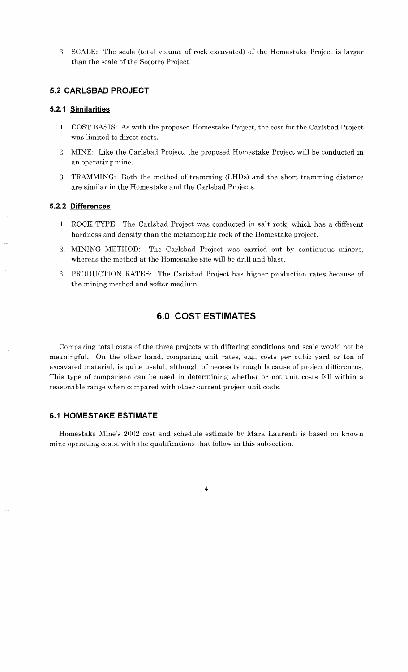**3.** SCALE: The scale (total volume of rock excavated) of the Homestake Project is larger than the scale of the Socorro Project.

#### **5.2 CARLSBAD PROJECT**

#### **5.2.1 Similarities**

- 1. COST BASIS: As with the proposed Homestake Project, the cost for the Carlsbad Project was limited to direct costs.
- 2. MINE: Like the Carlsbad Project, the proposed Homestake Project will be conducted in an operating mine.
- **3.** TRAMMING: Both the method of tramming (LHDs) and the short tramming distance are similar in the Homestake and the Carlsbad Projects.

#### **5.2.2 Differences**

- 1. ROCK TYPE: The Carlsbad Project was conducted in salt rock, which has a different hardness and density than the metamorphic rock of the Homestake project.
- 2. MINING METHOD: The Carlsbad Project was carried out by continuous miners, whereas the method at the Homestake site will be drill and blast.
- **3.** PRODUCTION RATES: The Carlsbad Project has higher production rates because of the mining method and softer medium.

#### **6.0 COST ESTIMATES**

Comparing total costs of the three projects with differing conditions and scale would not be meaningful. On the other hand, comparing unit rates, e.g., costs per cubic yard or ton of excavated material, is quite useful, although of necessity rough because of project differences. This type of comparison can be used in determining whether or not unit costs fall within a reasonable range when compared with other current project unit costs.

#### **6.1 HOMESTAKE ESTIMATE**

Homestake Mine's 2002 cost and schedule estimate by Mark Laurenti is based on known mine operating costs, with the qualifications that follow in this subsection.

 $\overline{\mathbf{4}}$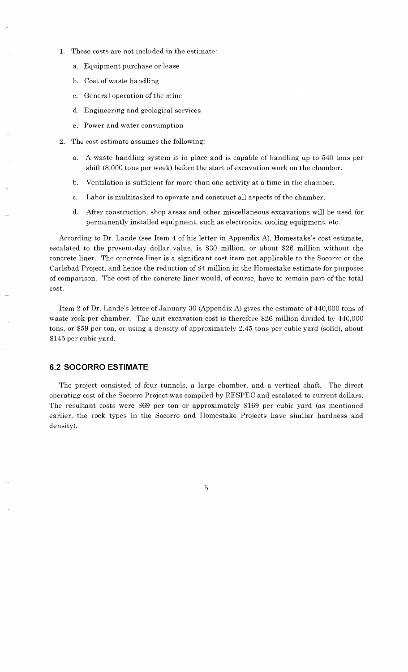- 1. These costs are not included in the estimate:
	- a. Equipment purchase or lease
	- b. Cost of waste handling
	- c. General operation of the mine
	- d. Engineering and geological services
	- e. Power and water consumption
- 2. The cost estimate assumes the following:
	- a. A waste handling system is in place and is capable of handling up to 540 tons per shift (8,000 tons per week) before the start of excavation work on the chamber.
	- b. Ventilation is sufficient for more than one activity at a time in the chamber.
	- c. Labor is multitasked to operate and construct all aspects of the chamber.
	- d. After construction, shop areas and other miscellaneous excavations will be used for permanently installed equipment, such as electronics, cooling equipment, etc.

According to Dr. Lande (see Item 4 of his letter in Appendix A), Homestake's cost estimate, escalated to the present-day dollar value, is \$30 million, or about \$26 million without the concrete liner. The concrete liner is a significant cost item not applicable to the Socorro or the Carlsbad Project, and hence the reduction of \$4 million in the Homestake estimate for purposes of comparison. The cost of the concrete liner would, of course, have to remain part of the total cost.

Item 2 of Dr. Lande's letter of January 30 (Appendix A) gives the estimate of 440,000 tons of waste rock per chamber. The unit excavation cost is therefore \$26 million divided by 440,000 tons, or \$59 per ton, or using a density of approximately 2.45 tons per cubic yard (solid), about \$145 per cubic yard.

#### **6.2 SOCORRO ES'TIMA'TE**

The project consisted of four tunnels, a large chamber, and a vertical shaft. The direct operating cost of the Socorro Project was compiled by RESPEC and escalated to current dollars. The resultant costs were \$69 per ton or approximately \$169 per cubic yard (as mentioned earlier, the rock types in the Socorro and Homestake Projects have similar hardness and density).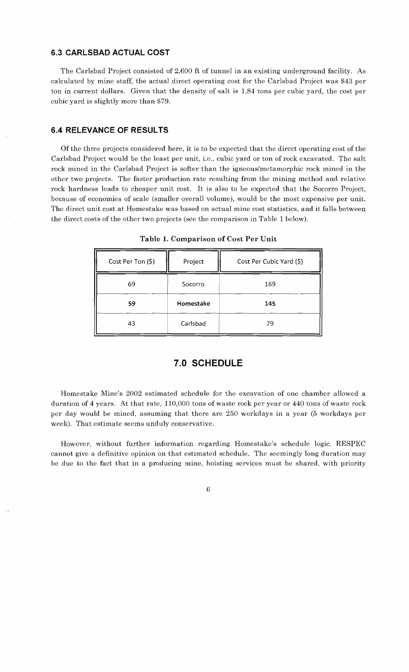#### **6.3 CARLSBAD ACTUAL COST**

The Carlsbad Project consisted of 2,600 ft of tunnel in an existing underground facility. As calculated by mine staff, the actual direct operating cost for the Carlsbad Project was \$43 per ton in current dollars. Given that the density of salt is 1.84 tons per cubic yard, the cost per cubic yard is slightly more than \$79.

#### **6.4 RELEVANCE OF RESULTS**

Of the three projects considered here, it is to be expected that the direct operating cost of the Carlsbad Project would be the least per unit, i.e., cubic yard or ton of rock excavated. The salt rock mined in the Carlsbad Project is softer than the igneous/metamorphic rock mined in the other two projects. The faster production rate resulting from the mining method and relative rock hardness leads to cheaper unit cost. It is also to be expected that the Socorro Project, because of economies of scale (smaller overall volume), would be the most expensive per unit. The direct unit cost at Homestake was based on actual mine cost statistics, and it falls between the direct costs of the other two projects (see the comparison in Table 1 below).

| Cost Per Ton (\$) | Project   | Cost Per Cubic Yard (\$) |  |  |
|-------------------|-----------|--------------------------|--|--|
| 69                | Socorro   | 169                      |  |  |
| 59                | Homestake | 145                      |  |  |
| 43                | Carlsbad  | 79                       |  |  |

**Table 1. Comparison of Cost Per Unit** 

#### **7.0 SCHEDULE**

Homestake Mine's 2002 estimated schedule for the excavation of one chamber allowed a duration of 4 years. At that rate, 110,000 tons of waste rock per year or 440 tons of waste rock per day would be mined, assuming that there are 250 workdays in a year (5 workdays per week). That estimate seems unduly conservative.

However, without further information regarding Homestake's schedule logic, RESPEC cannot give a definitive opinion on that estimated schedule. The seemingly long duration may be due to the fact that in a producing mine, hoisting services must be shared, with priority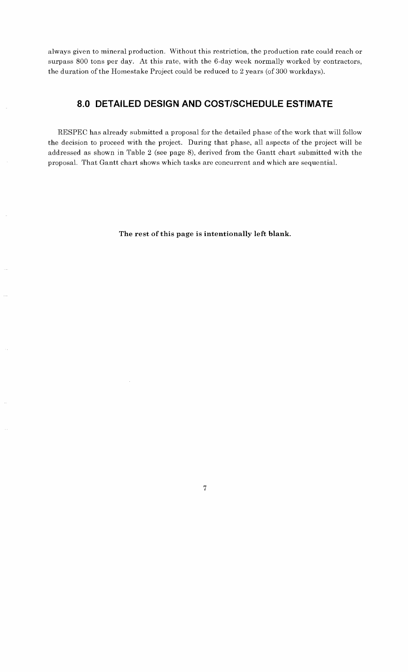always given to mineral production. Without this restriction, the production rate could reach or surpass *800* tons per day. At this rate, with the 6-day week normally worked by contractors, the duration of the Homestake Project could be reduced to 2 years (of *300* workdays).

## **8.0 DETAILED DESIGN AND COSTISCHEDULE ESTIMATE**

RESPEC has already submitted a proposal for the detailed phase of the work that will follow the decision to proceed with the project. During that phase, all aspects of the project will be addressed as shown in Table 2 (see page *8),* derived from the Gantt chart submitted with the proposal. That Gantt chart shows which tasks are concurrent and which are sequential.

**The rest of this page is intentionally left blank.** 

 $\overline{7}$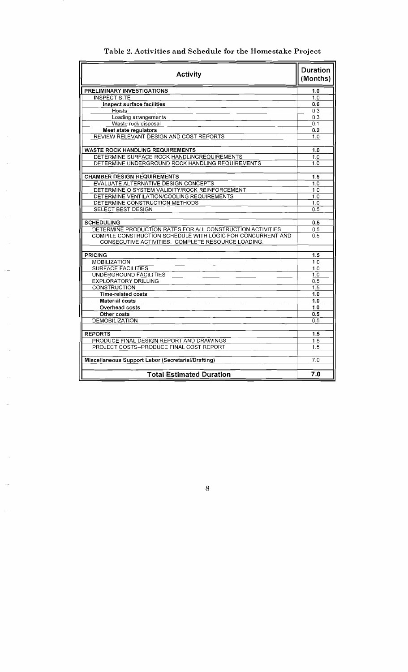| Table 2. Activities and Schedule for the Homestake Project |  |  |  |  |
|------------------------------------------------------------|--|--|--|--|
|------------------------------------------------------------|--|--|--|--|

| <b>Activity</b>                                                                                                   |                  |  |  |  |  |
|-------------------------------------------------------------------------------------------------------------------|------------------|--|--|--|--|
| PRELIMINARY INVESTIGATIONS                                                                                        | 1.0              |  |  |  |  |
| <b>INSPECT SITE</b>                                                                                               | 1.0              |  |  |  |  |
| <b>Inspect surface facilities</b>                                                                                 | 0.6              |  |  |  |  |
| Hoists                                                                                                            | 0.3              |  |  |  |  |
| Loading arrangements                                                                                              | 0.3              |  |  |  |  |
| Waste rock disposal                                                                                               | 0.1              |  |  |  |  |
| Meet state regulators                                                                                             | 0.2              |  |  |  |  |
| REVIEW RELEVANT DESIGN AND COST REPORTS                                                                           | 1.0              |  |  |  |  |
| <b>WASTE ROCK HANDLING REQUIREMENTS</b>                                                                           | 1.0              |  |  |  |  |
| DETERMINE SURFACE ROCK HANDLINGREQUIREMENTS                                                                       | 1.0              |  |  |  |  |
| DETERMINE UNDERGROUND ROCK HANDLING REQUIREMENTS                                                                  | $\overline{10}$  |  |  |  |  |
|                                                                                                                   |                  |  |  |  |  |
| <b>CHAMBER DESIGN REQUIREMENTS</b>                                                                                | 1.5              |  |  |  |  |
| <b>EVALUATE ALTERNATIVE DESIGN CONCEPTS</b>                                                                       | 1.0              |  |  |  |  |
| DETERMINE Q SYSTEM VALIDITY/ROCK REINFORCEMENT                                                                    | 1.0              |  |  |  |  |
| DETERMINE VENTILATION/COOLING REQUIREMENTS                                                                        | 1.0              |  |  |  |  |
| DETERMINE CONSTRUCTION METHODS                                                                                    | 1.0              |  |  |  |  |
| <b>SELECT BEST DESIGN</b>                                                                                         | 0.5              |  |  |  |  |
|                                                                                                                   |                  |  |  |  |  |
| <b>SCHEDULING</b>                                                                                                 | 0.5              |  |  |  |  |
| DETERMINE PRODUCTION RATES FOR ALL CONSTRUCTION ACTIVITIES                                                        | 0.5              |  |  |  |  |
| COMPILE CONSTRUCTION SCHEDULE WITH LOGIC FOR CONCURRENT AND<br>CONSECUTIVE ACTIVITIES. COMPLETE RESOURCE LOADING. | 0.5              |  |  |  |  |
|                                                                                                                   |                  |  |  |  |  |
| <b>PRICING</b>                                                                                                    | 1.5              |  |  |  |  |
| MOBILIZATION                                                                                                      | $1.\overline{0}$ |  |  |  |  |
| <b>SURFACE FACILITIES</b>                                                                                         | 1.0              |  |  |  |  |
| UNDERGROUND FACILITIES                                                                                            | 1.0              |  |  |  |  |
| <b>EXPLORATORY DRILLING</b>                                                                                       | 0.5              |  |  |  |  |
| <b>CONSTRUCTION</b>                                                                                               | 1.5              |  |  |  |  |
| Time-related costs                                                                                                | 1.0              |  |  |  |  |
| <b>Material costs</b>                                                                                             | 1.0              |  |  |  |  |
| Overhead costs                                                                                                    | 1.0              |  |  |  |  |
| Other costs                                                                                                       | 0.5              |  |  |  |  |
| <b>DEMOBILIZATION</b>                                                                                             | 0.5              |  |  |  |  |
| <b>REPORTS</b>                                                                                                    | 1.5              |  |  |  |  |
| PRODUCE FINAL DESIGN REPORT AND DRAWINGS                                                                          | 1.5              |  |  |  |  |
| PROJECT COSTS--PRODUCE FINAL COST REPORT                                                                          | 1.5              |  |  |  |  |
|                                                                                                                   |                  |  |  |  |  |
| Miscellaneous Support Labor (Secretarial/Drafting)                                                                | 7.0              |  |  |  |  |
| <b>Total Estimated Duration</b>                                                                                   | 7.0              |  |  |  |  |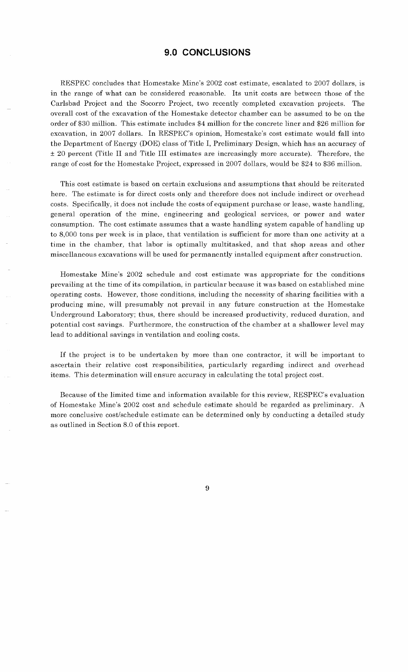#### **9.0 CONCLUSIONS**

RESPEC concludes that Homestake Mine's 2002 cost estimate, escalated to 2007 dollars, is in the range of what can be considered reasonable. Its unit costs are between those of the Carlsbad Project and the Socorro Project, two recently completed excavation projects. The overall cost of the excavation of the Homestake detector chamber can be assumed to be on the order of \$30 million. This estimate includes \$4 million for the concrete liner and \$26 million for excavation, in 2007 dollars. In RESPEC's opinion, Homestake's cost estimate would fall into the Department of Energy (DOE) class of Title I, Preliminary Design, which has an accuracy of **f** 20 percent (Title I1 and Title I11 estimates are increasingly more accurate). Therefore, the range of cost for the Homestake Project, expressed in 2007 dollars, would be \$24 to \$36 million.

This cost estimate is based on certain exclusions and assumptions that should be reiterated here. The estimate is for direct costs only and therefore does not include indirect or overhead costs. Specifically, it does not include the costs of equipment purchase or lease, waste handling, general operation of the mine, engineering and geological services, or power and water consumption. The cost estimate assumes that a waste handling system capable of handling up to 8,000 tons per week is in place, that ventilation is sufficient for more than one activity at a time in the chamber, that labor is optimally multitasked, and that shop areas and other miscellaneous excavations will be used for permanently installed equipment after construction.

Homestake Mine's 2002 schedule and cost estimate was appropriate for the conditions prevailing at the time of its compilation, in particular because it was based on established mine operating costs. However, those conditions, including the necessity of sharing facilities with a producing mine, will presumably not prevail in any future construction at the Homestake Underground Laboratory; thus, there should be increased productivity, reduced duration, and potential cost savings. Furthermore, the construction of the chamber at a shallower level may lead to additional savings in ventilation and cooling costs.

If the project is to be undertaken by more than one contractor, it will be important to ascertain their relative cost responsibilities, particularly regarding indirect and overhead items. This determination will ensure accuracy in calculating the total project cost.

Because of the limited time and information available for this review, RESPEC's evaluation of Homestake Mine's 2002 cost and schedule estimate should be regarded as preliminary. A more conclusive cost/schedule estimate can be determined only by conducting a detailed study as outlined in Section 8.0 of this report.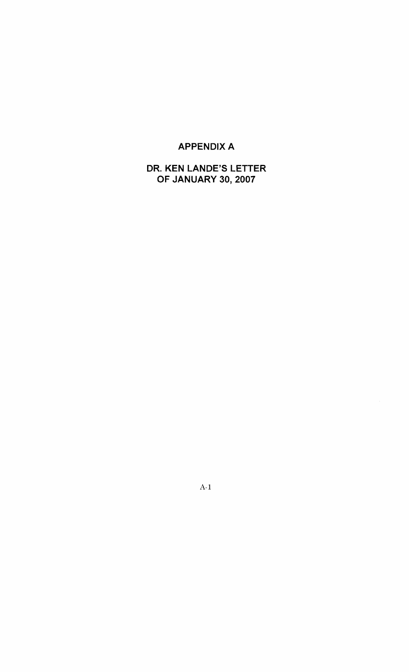## **APPENDIX A**

**DR. KEN LANDE'S LETTER OF JANUARY 30,2007** 

 $A-1$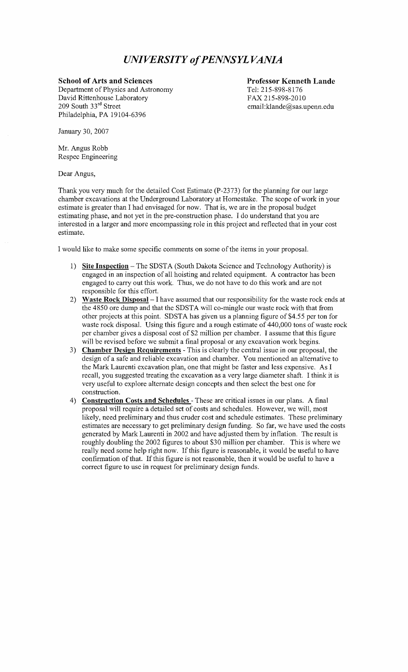## *UNIVERSITY of PENNSYL VANIA*

#### **School of Arts and Sciences**

Department of Physics and Astronomy David Rittenhouse Laboratory 209 South 33rd Street Philadelphia, PA 19104-6396

**Professor Kenneth Lande**  Tel: 215-898-8 176 FAX 215-898-2010 **email:klande@sas.upenn.edu** 

January 30,2007

Mr. Angus Robb Respec Engineering

Dear Angus,

Thank you very much for the detailed Cost Estimate (P-2373) for the planning for our large chamber excavations at the Underground Laboratory at Homestake. The scope of work in your estimate is greater than I had envisaged for now. That is, we are in the proposal budget estimating phase, and not yet in the pre-construction phase. I do understand that you are interested in a larger and more encompassing role in this project and reflected that in your cost estimate.

I would like to make some specific comments on some of the items in your proposal.

- 1) **Site Inspection** The SDSTA (South Dakota Science and Technology Authority) is engaged in an inspection of all hoisting and related equipment. A contractor has been engaged to carry out this work. Thus, we do not have to do this work and are not responsible for this effort.
- 2) **Waste Rock Disposal**  I have assumed that our responsibility for the waste rock ends at the 4850 ore dump and that the SDSTA will co-mingle our waste rock with that from other projects at this point. SDSTA has given us a planning figure of \$4.55 per ton for waste rock disposal. Using this figure and a rough estimate of 440,000 tons of waste rock per chamber gives a disposal cost of \$2 million per chamber. I assume that this figure will be revised before we submit a final proposal or any excavation work begins.
- 3) **Chamber Design Requirements**  This is clearly the central issue in our proposal, the design of a safe and reliable excavation and chamber. You mentioned an alternative to the Mark Laurenti excavation plan, one that might be faster and less expensive. As I recall, you suggested treating the excavation as a very large diameter shaft. I think it is very useful to explore alternate design concepts and then select the best one for construction.
- 4) **Construction Costs and Schedules**  These are critical issues in our plans. A final proposal will require a detailed set of costs and schedules. However, we will, most likely, need preliminary and thus cruder cost and schedule estimates. These preliminary estimates are necessary to get preliminary design funding. So far, we have used the costs generated by Mark Laurenti in 2002 and have adjusted them by inflation. The result is roughly doubling the 2002 figures to about \$30 million per chamber. This is where we really need some help right now. If this figure is reasonable, it would be useful to have confirmation of that. If this figure is not reasonable, then it would be useful to have a correct figure to use in request for preliminary design funds.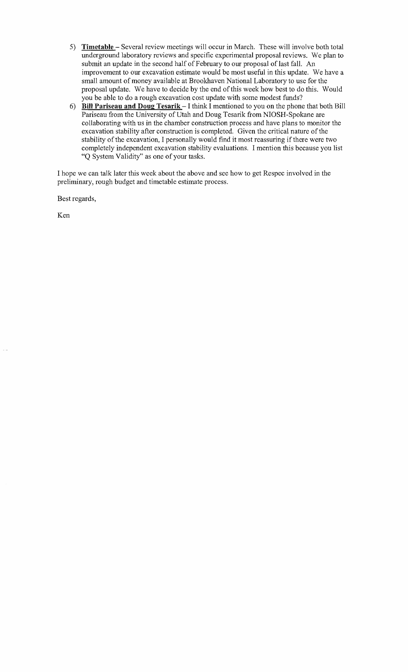- 5) **Timetable**  Several review meetings will occur in March. These will involve both total underground laboratory reviews and specific experimental proposal reviews. We plan to submit an update in the second half of February to our proposal of last fall. An improvement to our excavation estimate would be most useful in this update. We have a small amount of money available at Brookhaven National Laboratory to use for the proposal update. We have to decide by the end of this week how best to do ths. Would you be able to do a rough excavation cost update with some modest funds?
- **6) Bill Pariseau and Doug Tesarik I** think I mentioned to you on the phone that both Bill Pariseau from the University of Utah and Doug Tesarik from NIOSH-Spokane are collaborating with us in the chamber construction process and have plans to monitor the excavation stability after construction is completed. Given the critical nature of the stability of the excavation, I personally would find it most reassuring if there were two completely independent excavation stability evaluations. I mention this because you list "Q System Validity" as one of your tasks.

I hope we can talk later this week about the above and see how to get Respec involved in the preliminary, rough budget and timetable estimate process.

Best regards,

Ken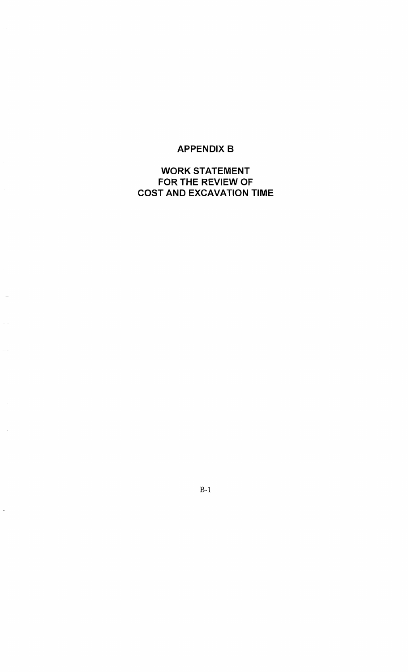## **APPENDIX B**

 $\sim$  12

 $\sim$   $\sim$ 

 $\cdots$ 

 $\overline{\phantom{a}}$ 

## **WORK STATEMENT FOR THE REVIEW OF COST AND EXCAVATION TIME**

 $B-1$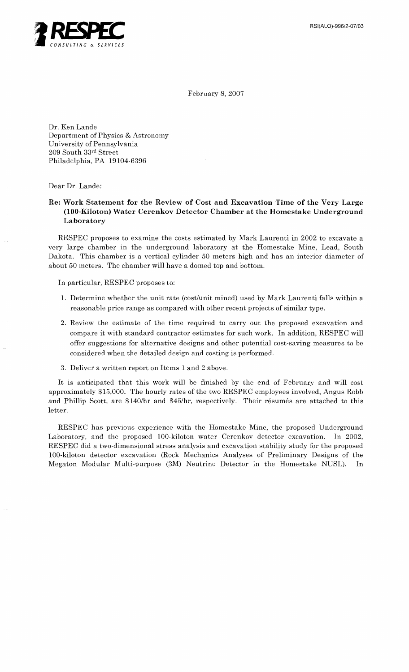

February 8,2007

Dr. Ken Lande Department of Physics & Astronomy University of Pennsylvania 209 South 33rd Street Philadelphia, PA 19 104-6396

Dear Dr. Lande:

#### **Re: Work Statement for the Review of Cost and Excavation Time of the Very Large (100-Kiloton) Water Cerenkov Detector Chamber at the Homestake Underground Laboratory**

RESPEC proposes to examine the costs estimated by Mark Laurenti in 2002 to excavate a very large chamber in the underground laboratory at the Homestake Mine, Lead, South Dakota. This chamber is a vertical cylinder 50 meters high and has an interior diameter of about 50 meters. The chamber will have a domed top and bottom.

In particular, RESPEC proposes to:

- 1. Determine whether the unit rate (cost/unit mined) used by Mark Laurenti falls within a reasonable price range as compared with other recent projects of similar type.
- 2. Review the estimate of the time required to carry out the proposed excavation and compare it with standard contractor estimates for such work. In addition, RESPEC will offer suggestions for alternative designs and other potential cost-saving measures to be considered when the detailed design and costing is performed.
- **3.** Deliver a written report on Items 1 and 2 above.

It is anticipated that this work will be finished by the end of February and will cost approximately \$15,000. The hourly rates of the two RESPEC employees involved, Angus Robb and Phillip Scott, are \$140/hr and \$45/hr, respectively. Their résumés are attached to this letter.

RESPEC has previous experience with the Homestake Mine, the proposed Underground Laboratory, and the proposed 100-kiloton water Cerenkov detector excavation. In 2002, RESPEC did a two-dimensional stress analysis and excavation stability study for the proposed 100-kiloton detector excavation (Rock Mechanics Analyses of Preliminary Designs of the Megaton Modular Multi-purpose (3M) Neutrino Detector in the Homestake NUSL). In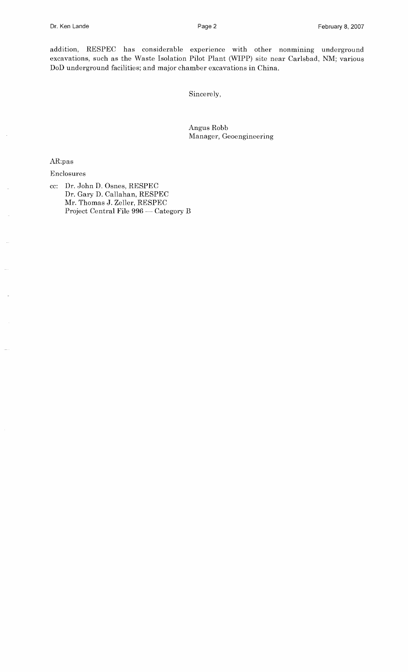addition, RESPEC has considerable experience with other nonmining underground excavations, such as the Waste Isolation Pilot Plant (WIPP) site near Carlsbad, NM; various DoD underground facilities; and major chamber excavations in China.

Sincerely,

Angus Robb Manager, Geoengineering

AR:pas

#### Enclosures

cc: Dr. John D. Osnes, RESPEC Dr. Gary D. Callahan, RESPEC Mr. Thomas J. Zeller, RESPEC Project Central File 996 - Category B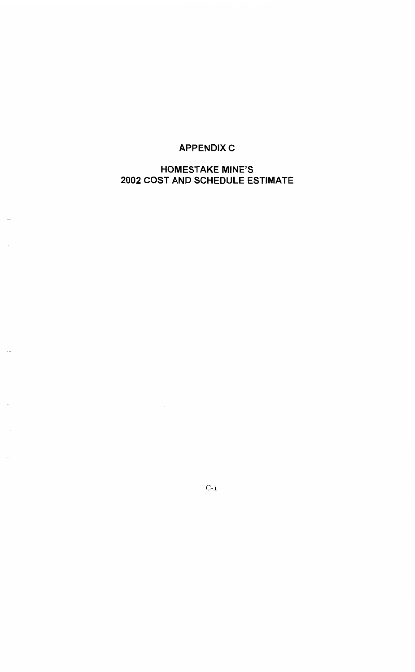## **APPENDIX C**

## **HOMESTAKE MINE'S 2002 COST AND SCHEDULE ESTIMATE**

 $C-1$ 

 $\bar{z}$ 

 $\sim$